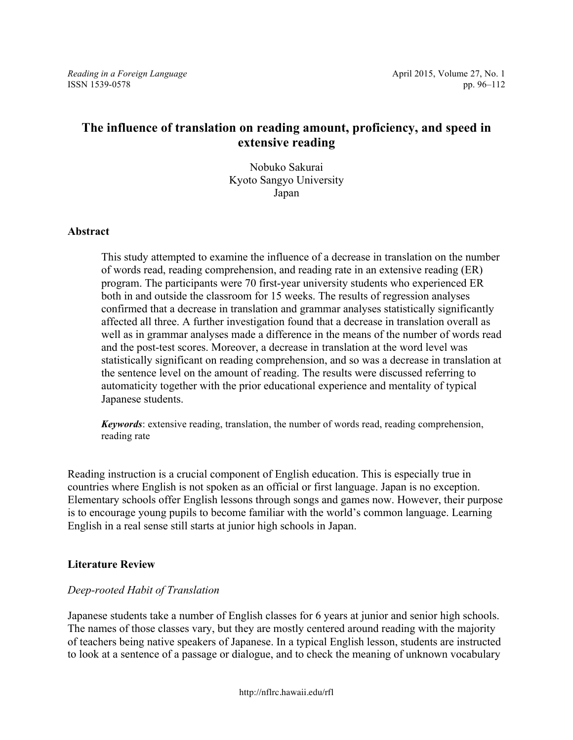*Reading in a Foreign Language* **April 2015, Volume 27, No. 1** April 2015, Volume 27, No. 1 ISSN 1539-0578 pp. 96–112

# **The influence of translation on reading amount, proficiency, and speed in extensive reading**

Nobuko Sakurai Kyoto Sangyo University Japan

#### **Abstract**

This study attempted to examine the influence of a decrease in translation on the number of words read, reading comprehension, and reading rate in an extensive reading (ER) program. The participants were 70 first-year university students who experienced ER both in and outside the classroom for 15 weeks. The results of regression analyses confirmed that a decrease in translation and grammar analyses statistically significantly affected all three. A further investigation found that a decrease in translation overall as well as in grammar analyses made a difference in the means of the number of words read and the post-test scores. Moreover, a decrease in translation at the word level was statistically significant on reading comprehension, and so was a decrease in translation at the sentence level on the amount of reading. The results were discussed referring to automaticity together with the prior educational experience and mentality of typical Japanese students.

*Keywords*: extensive reading, translation, the number of words read, reading comprehension, reading rate

Reading instruction is a crucial component of English education. This is especially true in countries where English is not spoken as an official or first language. Japan is no exception. Elementary schools offer English lessons through songs and games now. However, their purpose is to encourage young pupils to become familiar with the world's common language. Learning English in a real sense still starts at junior high schools in Japan.

#### **Literature Review**

#### *Deep-rooted Habit of Translation*

Japanese students take a number of English classes for 6 years at junior and senior high schools. The names of those classes vary, but they are mostly centered around reading with the majority of teachers being native speakers of Japanese. In a typical English lesson, students are instructed to look at a sentence of a passage or dialogue, and to check the meaning of unknown vocabulary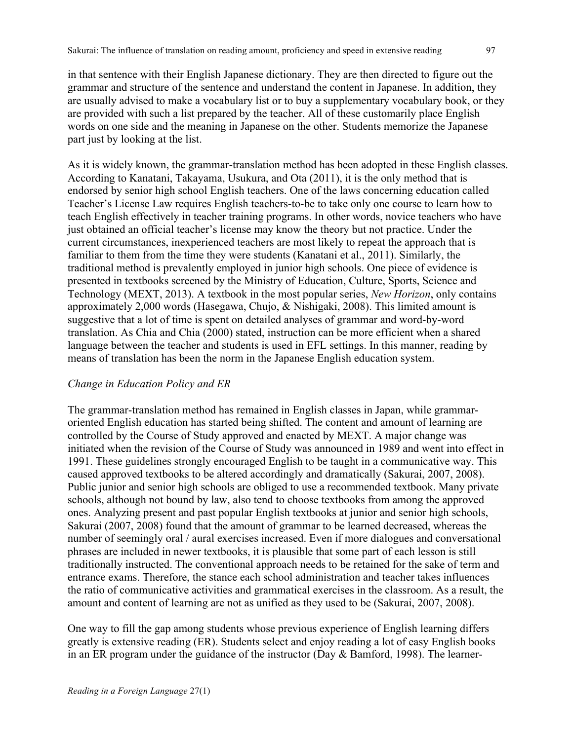in that sentence with their English Japanese dictionary. They are then directed to figure out the grammar and structure of the sentence and understand the content in Japanese. In addition, they are usually advised to make a vocabulary list or to buy a supplementary vocabulary book, or they are provided with such a list prepared by the teacher. All of these customarily place English words on one side and the meaning in Japanese on the other. Students memorize the Japanese part just by looking at the list.

As it is widely known, the grammar-translation method has been adopted in these English classes. According to Kanatani, Takayama, Usukura, and Ota (2011), it is the only method that is endorsed by senior high school English teachers. One of the laws concerning education called Teacher's License Law requires English teachers-to-be to take only one course to learn how to teach English effectively in teacher training programs. In other words, novice teachers who have just obtained an official teacher's license may know the theory but not practice. Under the current circumstances, inexperienced teachers are most likely to repeat the approach that is familiar to them from the time they were students (Kanatani et al., 2011). Similarly, the traditional method is prevalently employed in junior high schools. One piece of evidence is presented in textbooks screened by the Ministry of Education, Culture, Sports, Science and Technology (MEXT, 2013). A textbook in the most popular series, *New Horizon*, only contains approximately 2,000 words (Hasegawa, Chujo, & Nishigaki, 2008). This limited amount is suggestive that a lot of time is spent on detailed analyses of grammar and word-by-word translation. As Chia and Chia (2000) stated, instruction can be more efficient when a shared language between the teacher and students is used in EFL settings. In this manner, reading by means of translation has been the norm in the Japanese English education system.

### *Change in Education Policy and ER*

The grammar-translation method has remained in English classes in Japan, while grammaroriented English education has started being shifted. The content and amount of learning are controlled by the Course of Study approved and enacted by MEXT. A major change was initiated when the revision of the Course of Study was announced in 1989 and went into effect in 1991. These guidelines strongly encouraged English to be taught in a communicative way. This caused approved textbooks to be altered accordingly and dramatically (Sakurai, 2007, 2008). Public junior and senior high schools are obliged to use a recommended textbook. Many private schools, although not bound by law, also tend to choose textbooks from among the approved ones. Analyzing present and past popular English textbooks at junior and senior high schools, Sakurai (2007, 2008) found that the amount of grammar to be learned decreased, whereas the number of seemingly oral / aural exercises increased. Even if more dialogues and conversational phrases are included in newer textbooks, it is plausible that some part of each lesson is still traditionally instructed. The conventional approach needs to be retained for the sake of term and entrance exams. Therefore, the stance each school administration and teacher takes influences the ratio of communicative activities and grammatical exercises in the classroom. As a result, the amount and content of learning are not as unified as they used to be (Sakurai, 2007, 2008).

One way to fill the gap among students whose previous experience of English learning differs greatly is extensive reading (ER). Students select and enjoy reading a lot of easy English books in an ER program under the guidance of the instructor (Day & Bamford, 1998). The learner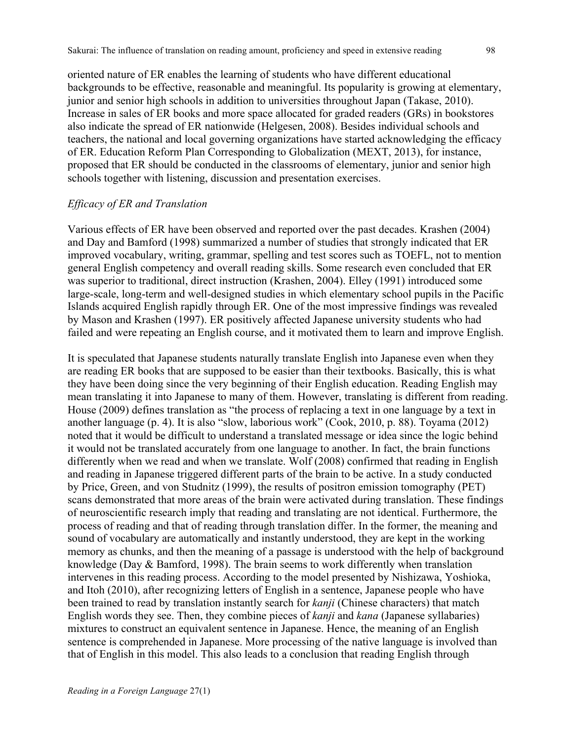oriented nature of ER enables the learning of students who have different educational backgrounds to be effective, reasonable and meaningful. Its popularity is growing at elementary, junior and senior high schools in addition to universities throughout Japan (Takase, 2010). Increase in sales of ER books and more space allocated for graded readers (GRs) in bookstores also indicate the spread of ER nationwide (Helgesen, 2008). Besides individual schools and teachers, the national and local governing organizations have started acknowledging the efficacy of ER. Education Reform Plan Corresponding to Globalization (MEXT, 2013), for instance, proposed that ER should be conducted in the classrooms of elementary, junior and senior high schools together with listening, discussion and presentation exercises.

#### *Efficacy of ER and Translation*

Various effects of ER have been observed and reported over the past decades. Krashen (2004) and Day and Bamford (1998) summarized a number of studies that strongly indicated that ER improved vocabulary, writing, grammar, spelling and test scores such as TOEFL, not to mention general English competency and overall reading skills. Some research even concluded that ER was superior to traditional, direct instruction (Krashen, 2004). Elley (1991) introduced some large-scale, long-term and well-designed studies in which elementary school pupils in the Pacific Islands acquired English rapidly through ER. One of the most impressive findings was revealed by Mason and Krashen (1997). ER positively affected Japanese university students who had failed and were repeating an English course, and it motivated them to learn and improve English.

It is speculated that Japanese students naturally translate English into Japanese even when they are reading ER books that are supposed to be easier than their textbooks. Basically, this is what they have been doing since the very beginning of their English education. Reading English may mean translating it into Japanese to many of them. However, translating is different from reading. House (2009) defines translation as "the process of replacing a text in one language by a text in another language (p. 4). It is also "slow, laborious work" (Cook, 2010, p. 88). Toyama (2012) noted that it would be difficult to understand a translated message or idea since the logic behind it would not be translated accurately from one language to another. In fact, the brain functions differently when we read and when we translate. Wolf (2008) confirmed that reading in English and reading in Japanese triggered different parts of the brain to be active. In a study conducted by Price, Green, and von Studnitz (1999), the results of positron emission tomography (PET) scans demonstrated that more areas of the brain were activated during translation. These findings of neuroscientific research imply that reading and translating are not identical. Furthermore, the process of reading and that of reading through translation differ. In the former, the meaning and sound of vocabulary are automatically and instantly understood, they are kept in the working memory as chunks, and then the meaning of a passage is understood with the help of background knowledge (Day & Bamford, 1998). The brain seems to work differently when translation intervenes in this reading process. According to the model presented by Nishizawa, Yoshioka, and Itoh (2010), after recognizing letters of English in a sentence, Japanese people who have been trained to read by translation instantly search for *kanji* (Chinese characters) that match English words they see. Then, they combine pieces of *kanji* and *kana* (Japanese syllabaries) mixtures to construct an equivalent sentence in Japanese. Hence, the meaning of an English sentence is comprehended in Japanese. More processing of the native language is involved than that of English in this model. This also leads to a conclusion that reading English through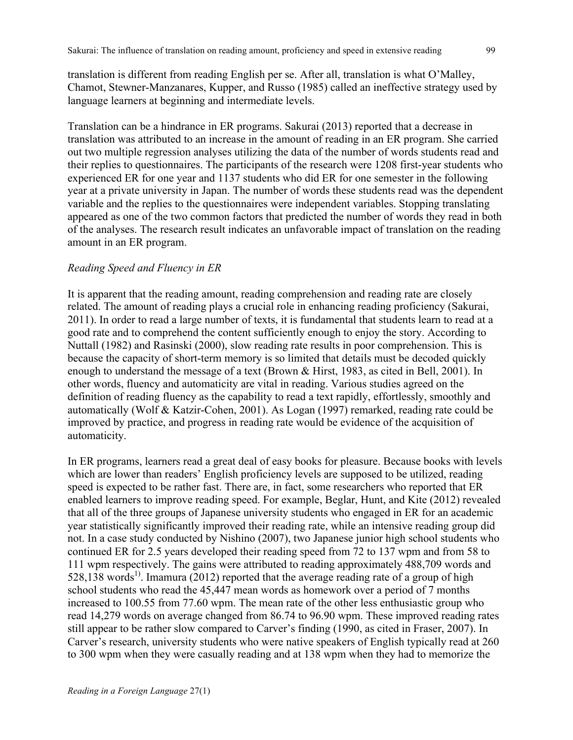translation is different from reading English per se. After all, translation is what O'Malley, Chamot, Stewner-Manzanares, Kupper, and Russo (1985) called an ineffective strategy used by language learners at beginning and intermediate levels.

Translation can be a hindrance in ER programs. Sakurai (2013) reported that a decrease in translation was attributed to an increase in the amount of reading in an ER program. She carried out two multiple regression analyses utilizing the data of the number of words students read and their replies to questionnaires. The participants of the research were 1208 first-year students who experienced ER for one year and 1137 students who did ER for one semester in the following year at a private university in Japan. The number of words these students read was the dependent variable and the replies to the questionnaires were independent variables. Stopping translating appeared as one of the two common factors that predicted the number of words they read in both of the analyses. The research result indicates an unfavorable impact of translation on the reading amount in an ER program.

### *Reading Speed and Fluency in ER*

It is apparent that the reading amount, reading comprehension and reading rate are closely related. The amount of reading plays a crucial role in enhancing reading proficiency (Sakurai, 2011). In order to read a large number of texts, it is fundamental that students learn to read at a good rate and to comprehend the content sufficiently enough to enjoy the story. According to Nuttall (1982) and Rasinski (2000), slow reading rate results in poor comprehension. This is because the capacity of short-term memory is so limited that details must be decoded quickly enough to understand the message of a text (Brown & Hirst, 1983, as cited in Bell, 2001). In other words, fluency and automaticity are vital in reading. Various studies agreed on the definition of reading fluency as the capability to read a text rapidly, effortlessly, smoothly and automatically (Wolf & Katzir-Cohen, 2001). As Logan (1997) remarked, reading rate could be improved by practice, and progress in reading rate would be evidence of the acquisition of automaticity.

In ER programs, learners read a great deal of easy books for pleasure. Because books with levels which are lower than readers' English proficiency levels are supposed to be utilized, reading speed is expected to be rather fast. There are, in fact, some researchers who reported that ER enabled learners to improve reading speed. For example, Beglar, Hunt, and Kite (2012) revealed that all of the three groups of Japanese university students who engaged in ER for an academic year statistically significantly improved their reading rate, while an intensive reading group did not. In a case study conducted by Nishino (2007), two Japanese junior high school students who continued ER for 2.5 years developed their reading speed from 72 to 137 wpm and from 58 to 111 wpm respectively. The gains were attributed to reading approximately 488,709 words and  $528.138$  words<sup>1)</sup>. Imamura (2012) reported that the average reading rate of a group of high school students who read the 45,447 mean words as homework over a period of 7 months increased to 100.55 from 77.60 wpm. The mean rate of the other less enthusiastic group who read 14,279 words on average changed from 86.74 to 96.90 wpm. These improved reading rates still appear to be rather slow compared to Carver's finding (1990, as cited in Fraser, 2007). In Carver's research, university students who were native speakers of English typically read at 260 to 300 wpm when they were casually reading and at 138 wpm when they had to memorize the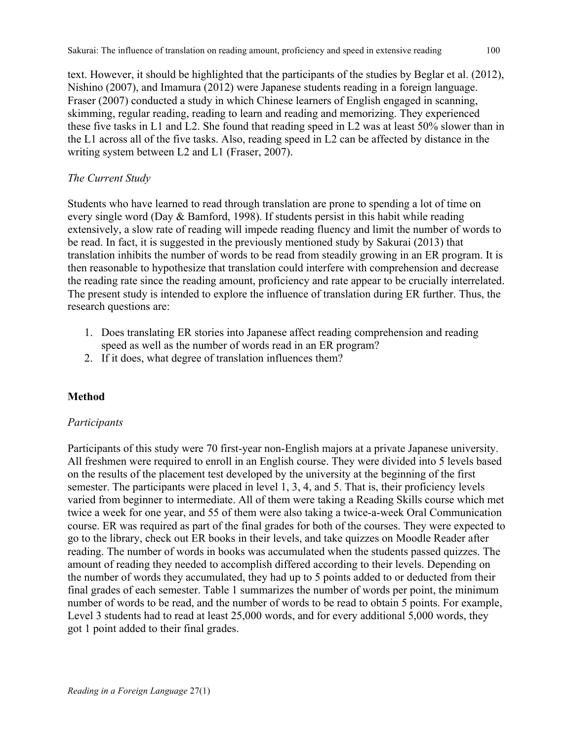text. However, it should be highlighted that the participants of the studies by Beglar et al. (2012), Nishino (2007), and Imamura (2012) were Japanese students reading in a foreign language. Fraser (2007) conducted a study in which Chinese learners of English engaged in scanning, skimming, regular reading, reading to learn and reading and memorizing. They experienced these five tasks in L1 and L2. She found that reading speed in L2 was at least 50% slower than in the L1 across all of the five tasks. Also, reading speed in L2 can be affected by distance in the writing system between L2 and L1 (Fraser, 2007).

## *The Current Study*

Students who have learned to read through translation are prone to spending a lot of time on every single word (Day & Bamford, 1998). If students persist in this habit while reading extensively, a slow rate of reading will impede reading fluency and limit the number of words to be read. In fact, it is suggested in the previously mentioned study by Sakurai (2013) that translation inhibits the number of words to be read from steadily growing in an ER program. It is then reasonable to hypothesize that translation could interfere with comprehension and decrease the reading rate since the reading amount, proficiency and rate appear to be crucially interrelated. The present study is intended to explore the influence of translation during ER further. Thus, the research questions are:

- 1. Does translating ER stories into Japanese affect reading comprehension and reading speed as well as the number of words read in an ER program?
- 2. If it does, what degree of translation influences them?

# **Method**

### *Participants*

Participants of this study were 70 first-year non-English majors at a private Japanese university. All freshmen were required to enroll in an English course. They were divided into 5 levels based on the results of the placement test developed by the university at the beginning of the first semester. The participants were placed in level 1, 3, 4, and 5. That is, their proficiency levels varied from beginner to intermediate. All of them were taking a Reading Skills course which met twice a week for one year, and 55 of them were also taking a twice-a-week Oral Communication course. ER was required as part of the final grades for both of the courses. They were expected to go to the library, check out ER books in their levels, and take quizzes on Moodle Reader after reading. The number of words in books was accumulated when the students passed quizzes. The amount of reading they needed to accomplish differed according to their levels. Depending on the number of words they accumulated, they had up to 5 points added to or deducted from their final grades of each semester. Table 1 summarizes the number of words per point, the minimum number of words to be read, and the number of words to be read to obtain 5 points. For example, Level 3 students had to read at least 25,000 words, and for every additional 5,000 words, they got 1 point added to their final grades.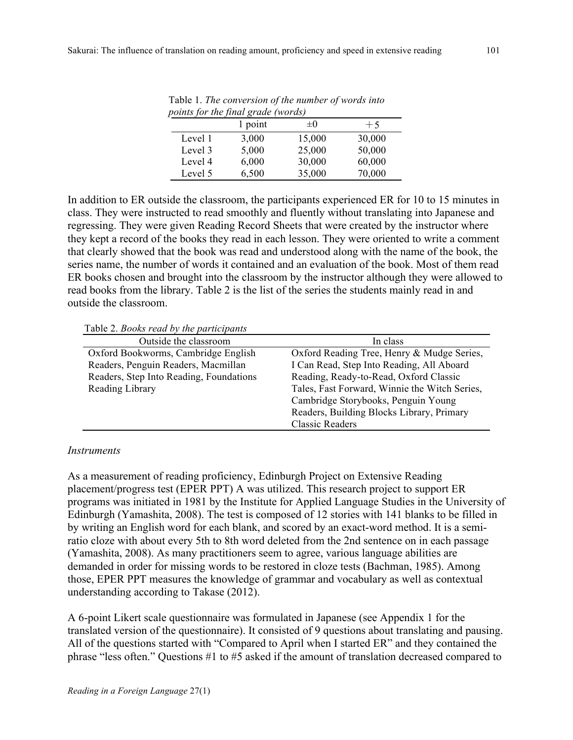|         | points for the final grade (words) |         |        |
|---------|------------------------------------|---------|--------|
|         | 1 point                            | $\pm 0$ | $+5$   |
| Level 1 | 3,000                              | 15,000  | 30,000 |
| Level 3 | 5,000                              | 25,000  | 50,000 |
| Level 4 | 6,000                              | 30,000  | 60,000 |
| Level 5 | 6,500                              | 35,000  | 70,000 |

Table 1. *The conversion of the number of words into points for the final grade (words)*

In addition to ER outside the classroom, the participants experienced ER for 10 to 15 minutes in class. They were instructed to read smoothly and fluently without translating into Japanese and regressing. They were given Reading Record Sheets that were created by the instructor where they kept a record of the books they read in each lesson. They were oriented to write a comment that clearly showed that the book was read and understood along with the name of the book, the series name, the number of words it contained and an evaluation of the book. Most of them read ER books chosen and brought into the classroom by the instructor although they were allowed to read books from the library. Table 2 is the list of the series the students mainly read in and outside the classroom.

Table 2. *Books read by the participants*

| Outside the classroom                   | In class                                      |
|-----------------------------------------|-----------------------------------------------|
| Oxford Bookworms, Cambridge English     | Oxford Reading Tree, Henry & Mudge Series,    |
| Readers, Penguin Readers, Macmillan     | I Can Read, Step Into Reading, All Aboard     |
| Readers, Step Into Reading, Foundations | Reading, Ready-to-Read, Oxford Classic        |
| Reading Library                         | Tales, Fast Forward, Winnie the Witch Series, |
|                                         | Cambridge Storybooks, Penguin Young           |
|                                         | Readers, Building Blocks Library, Primary     |
|                                         | <b>Classic Readers</b>                        |

#### *Instruments*

As a measurement of reading proficiency, Edinburgh Project on Extensive Reading placement/progress test (EPER PPT) A was utilized. This research project to support ER programs was initiated in 1981 by the Institute for Applied Language Studies in the University of Edinburgh (Yamashita, 2008). The test is composed of 12 stories with 141 blanks to be filled in by writing an English word for each blank, and scored by an exact-word method. It is a semiratio cloze with about every 5th to 8th word deleted from the 2nd sentence on in each passage (Yamashita, 2008). As many practitioners seem to agree, various language abilities are demanded in order for missing words to be restored in cloze tests (Bachman, 1985). Among those, EPER PPT measures the knowledge of grammar and vocabulary as well as contextual understanding according to Takase (2012).

A 6-point Likert scale questionnaire was formulated in Japanese (see Appendix 1 for the translated version of the questionnaire). It consisted of 9 questions about translating and pausing. All of the questions started with "Compared to April when I started ER" and they contained the phrase "less often." Questions #1 to #5 asked if the amount of translation decreased compared to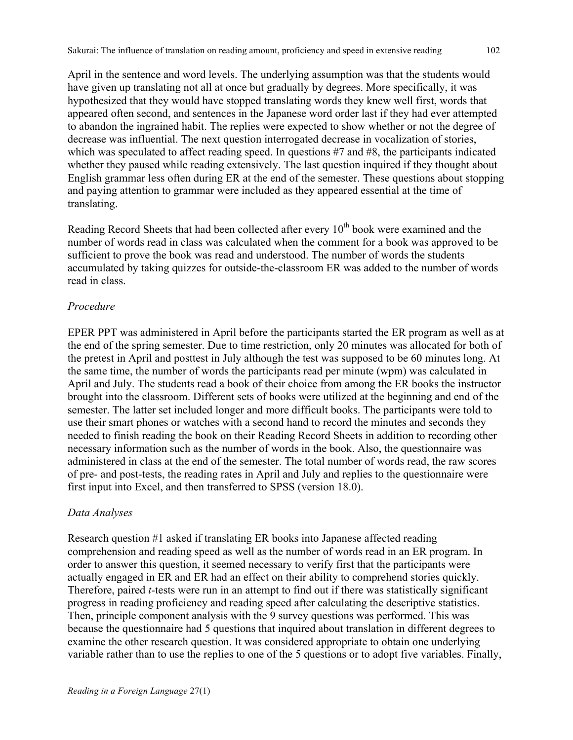April in the sentence and word levels. The underlying assumption was that the students would have given up translating not all at once but gradually by degrees. More specifically, it was hypothesized that they would have stopped translating words they knew well first, words that appeared often second, and sentences in the Japanese word order last if they had ever attempted to abandon the ingrained habit. The replies were expected to show whether or not the degree of decrease was influential. The next question interrogated decrease in vocalization of stories, which was speculated to affect reading speed. In questions #7 and #8, the participants indicated whether they paused while reading extensively. The last question inquired if they thought about English grammar less often during ER at the end of the semester. These questions about stopping and paying attention to grammar were included as they appeared essential at the time of translating.

Reading Record Sheets that had been collected after every  $10<sup>th</sup>$  book were examined and the number of words read in class was calculated when the comment for a book was approved to be sufficient to prove the book was read and understood. The number of words the students accumulated by taking quizzes for outside-the-classroom ER was added to the number of words read in class.

#### *Procedure*

EPER PPT was administered in April before the participants started the ER program as well as at the end of the spring semester. Due to time restriction, only 20 minutes was allocated for both of the pretest in April and posttest in July although the test was supposed to be 60 minutes long. At the same time, the number of words the participants read per minute (wpm) was calculated in April and July. The students read a book of their choice from among the ER books the instructor brought into the classroom. Different sets of books were utilized at the beginning and end of the semester. The latter set included longer and more difficult books. The participants were told to use their smart phones or watches with a second hand to record the minutes and seconds they needed to finish reading the book on their Reading Record Sheets in addition to recording other necessary information such as the number of words in the book. Also, the questionnaire was administered in class at the end of the semester. The total number of words read, the raw scores of pre- and post-tests, the reading rates in April and July and replies to the questionnaire were first input into Excel, and then transferred to SPSS (version 18.0).

#### *Data Analyses*

Research question #1 asked if translating ER books into Japanese affected reading comprehension and reading speed as well as the number of words read in an ER program. In order to answer this question, it seemed necessary to verify first that the participants were actually engaged in ER and ER had an effect on their ability to comprehend stories quickly. Therefore, paired *t-*tests were run in an attempt to find out if there was statistically significant progress in reading proficiency and reading speed after calculating the descriptive statistics. Then, principle component analysis with the 9 survey questions was performed. This was because the questionnaire had 5 questions that inquired about translation in different degrees to examine the other research question. It was considered appropriate to obtain one underlying variable rather than to use the replies to one of the 5 questions or to adopt five variables. Finally,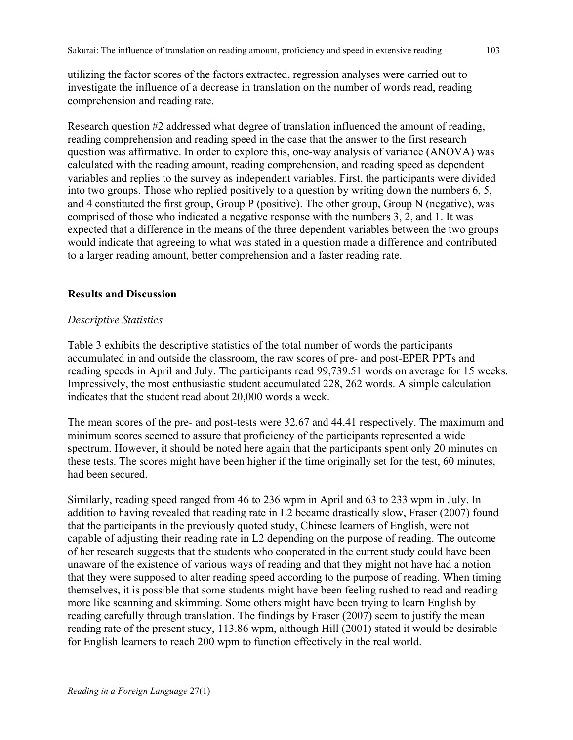utilizing the factor scores of the factors extracted, regression analyses were carried out to investigate the influence of a decrease in translation on the number of words read, reading comprehension and reading rate.

Research question #2 addressed what degree of translation influenced the amount of reading, reading comprehension and reading speed in the case that the answer to the first research question was affirmative. In order to explore this, one-way analysis of variance (ANOVA) was calculated with the reading amount, reading comprehension, and reading speed as dependent variables and replies to the survey as independent variables. First, the participants were divided into two groups. Those who replied positively to a question by writing down the numbers 6, 5, and 4 constituted the first group, Group P (positive). The other group, Group N (negative), was comprised of those who indicated a negative response with the numbers 3, 2, and 1. It was expected that a difference in the means of the three dependent variables between the two groups would indicate that agreeing to what was stated in a question made a difference and contributed to a larger reading amount, better comprehension and a faster reading rate.

### **Results and Discussion**

### *Descriptive Statistics*

Table 3 exhibits the descriptive statistics of the total number of words the participants accumulated in and outside the classroom, the raw scores of pre- and post-EPER PPTs and reading speeds in April and July. The participants read 99,739.51 words on average for 15 weeks. Impressively, the most enthusiastic student accumulated 228, 262 words. A simple calculation indicates that the student read about 20,000 words a week.

The mean scores of the pre- and post-tests were 32.67 and 44.41 respectively. The maximum and minimum scores seemed to assure that proficiency of the participants represented a wide spectrum. However, it should be noted here again that the participants spent only 20 minutes on these tests. The scores might have been higher if the time originally set for the test, 60 minutes, had been secured.

Similarly, reading speed ranged from 46 to 236 wpm in April and 63 to 233 wpm in July. In addition to having revealed that reading rate in L2 became drastically slow, Fraser (2007) found that the participants in the previously quoted study, Chinese learners of English, were not capable of adjusting their reading rate in L2 depending on the purpose of reading. The outcome of her research suggests that the students who cooperated in the current study could have been unaware of the existence of various ways of reading and that they might not have had a notion that they were supposed to alter reading speed according to the purpose of reading. When timing themselves, it is possible that some students might have been feeling rushed to read and reading more like scanning and skimming. Some others might have been trying to learn English by reading carefully through translation. The findings by Fraser (2007) seem to justify the mean reading rate of the present study, 113.86 wpm, although Hill (2001) stated it would be desirable for English learners to reach 200 wpm to function effectively in the real world.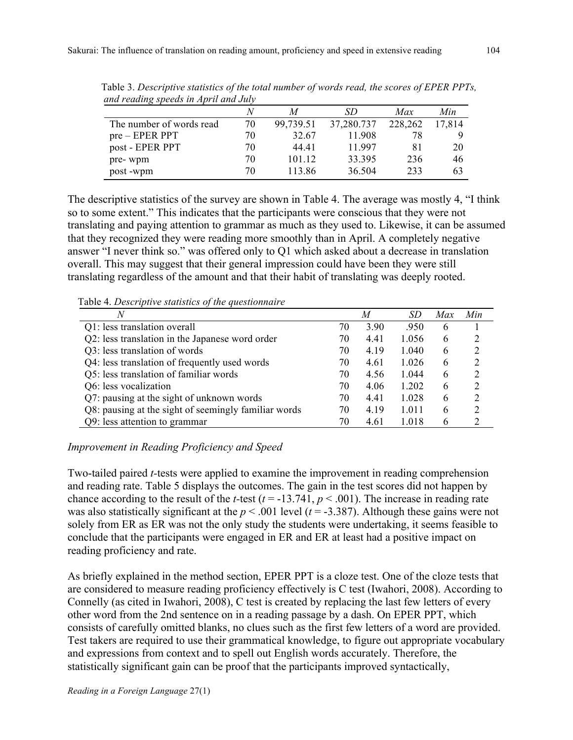| ana reaaing speeus in April ana buly |    |           |            |         |        |  |  |
|--------------------------------------|----|-----------|------------|---------|--------|--|--|
|                                      |    |           | SD         | Max     | Min    |  |  |
| The number of words read             | 70 | 99,739.51 | 37,280.737 | 228,262 | 17.814 |  |  |
| $pre - EPER PPT$                     | 70 | 32.67     | 11.908     | 78      |        |  |  |
| post - EPER PPT                      | 70 | 44 41     | 11.997     | 81      | 20     |  |  |
| pre-wpm                              | 70 | 101.12    | 33.395     | 236     | 46     |  |  |
| post-wpm                             | 70 | 113.86    | 36.504     | 233     | 63     |  |  |

Table 3. *Descriptive statistics of the total number of words read, the scores of EPER PPTs, and reading speeds in April and July* 

The descriptive statistics of the survey are shown in Table 4. The average was mostly 4, "I think so to some extent." This indicates that the participants were conscious that they were not translating and paying attention to grammar as much as they used to. Likewise, it can be assumed that they recognized they were reading more smoothly than in April. A completely negative answer "I never think so." was offered only to Q1 which asked about a decrease in translation overall. This may suggest that their general impression could have been they were still translating regardless of the amount and that their habit of translating was deeply rooted.

Table 4. *Descriptive statistics of the questionnaire*

| Tuble - Descriptive statistics of the questionnaire<br>N |    | $\overline{M}$ | SD    | Max | Min           |
|----------------------------------------------------------|----|----------------|-------|-----|---------------|
| Q1: less translation overall                             | 70 | 3.90           | .950  | 6   |               |
| Q2: less translation in the Japanese word order          | 70 | 4.41           | 1.056 | 6   | 2             |
| Q3: less translation of words                            | 70 | 4.19           | 1.040 | 6   | 2             |
| Q4: less translation of frequently used words            | 70 | 4.61           | 1.026 | 6   | 2             |
| Q5: less translation of familiar words                   | 70 | 4.56           | 1.044 | 6   | 2             |
| Q6: less vocalization                                    | 70 | 4.06           | 1.202 | 6   | $\mathcal{L}$ |
| Q7: pausing at the sight of unknown words                | 70 | 4.41           | 1.028 | 6   | 2             |
| Q8: pausing at the sight of seemingly familiar words     | 70 | 4.19           | 1.011 | 6   | $\mathcal{L}$ |
| Q9: less attention to grammar                            | 70 | 4.61           | 1.018 | 6   |               |

### *Improvement in Reading Proficiency and Speed*

Two-tailed paired *t-*tests were applied to examine the improvement in reading comprehension and reading rate. Table 5 displays the outcomes. The gain in the test scores did not happen by chance according to the result of the *t*-test ( $t = -13.74\overline{1}$ ,  $p < .001$ ). The increase in reading rate was also statistically significant at the  $p < .001$  level ( $t = -3.387$ ). Although these gains were not solely from ER as ER was not the only study the students were undertaking, it seems feasible to conclude that the participants were engaged in ER and ER at least had a positive impact on reading proficiency and rate.

As briefly explained in the method section, EPER PPT is a cloze test. One of the cloze tests that are considered to measure reading proficiency effectively is C test (Iwahori, 2008). According to Connelly (as cited in Iwahori, 2008), C test is created by replacing the last few letters of every other word from the 2nd sentence on in a reading passage by a dash. On EPER PPT, which consists of carefully omitted blanks, no clues such as the first few letters of a word are provided. Test takers are required to use their grammatical knowledge, to figure out appropriate vocabulary and expressions from context and to spell out English words accurately. Therefore, the statistically significant gain can be proof that the participants improved syntactically,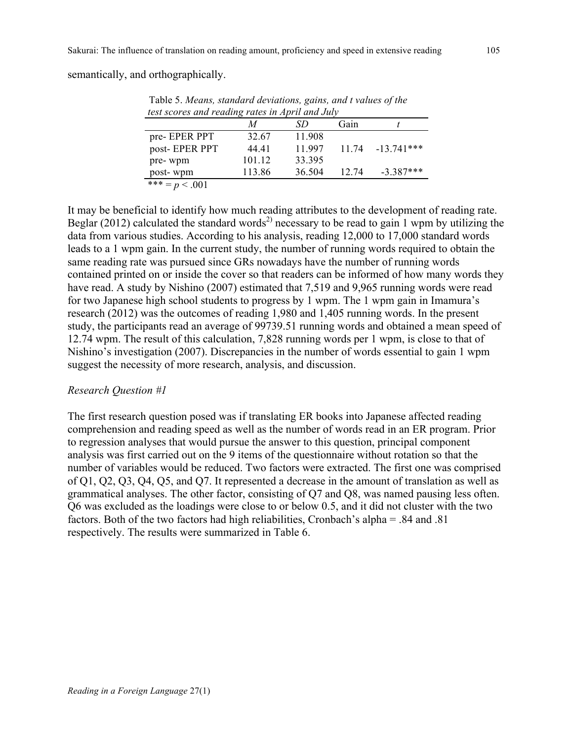semantically, and orthographically.

|               | M      | SD     | Gain  |             |
|---------------|--------|--------|-------|-------------|
| pre-EPER PPT  | 32.67  | 11.908 |       |             |
| post-EPER PPT | 44 41  | 11 997 | 11 74 | $-13741***$ |
| pre-wpm       | 101.12 | 33.395 |       |             |
| post-wpm      | 113.86 | 36.504 | 12.74 | $-3.387***$ |

Table 5. *Means, standard deviations, gains, and t values of the* 

It may be beneficial to identify how much reading attributes to the development of reading rate. Beglar (2012) calculated the standard words<sup>2)</sup> necessary to be read to gain 1 wpm by utilizing the data from various studies. According to his analysis, reading 12,000 to 17,000 standard words leads to a 1 wpm gain. In the current study, the number of running words required to obtain the same reading rate was pursued since GRs nowadays have the number of running words contained printed on or inside the cover so that readers can be informed of how many words they have read. A study by Nishino (2007) estimated that 7,519 and 9,965 running words were read for two Japanese high school students to progress by 1 wpm. The 1 wpm gain in Imamura's research (2012) was the outcomes of reading 1,980 and 1,405 running words. In the present study, the participants read an average of 99739.51 running words and obtained a mean speed of 12.74 wpm. The result of this calculation, 7,828 running words per 1 wpm, is close to that of Nishino's investigation (2007). Discrepancies in the number of words essential to gain 1 wpm suggest the necessity of more research, analysis, and discussion.

#### *Research Question #1*

The first research question posed was if translating ER books into Japanese affected reading comprehension and reading speed as well as the number of words read in an ER program. Prior to regression analyses that would pursue the answer to this question, principal component analysis was first carried out on the 9 items of the questionnaire without rotation so that the number of variables would be reduced. Two factors were extracted. The first one was comprised of Q1, Q2, Q3, Q4, Q5, and Q7. It represented a decrease in the amount of translation as well as grammatical analyses. The other factor, consisting of Q7 and Q8, was named pausing less often. Q6 was excluded as the loadings were close to or below 0.5, and it did not cluster with the two factors. Both of the two factors had high reliabilities, Cronbach's alpha = .84 and .81 respectively. The results were summarized in Table 6.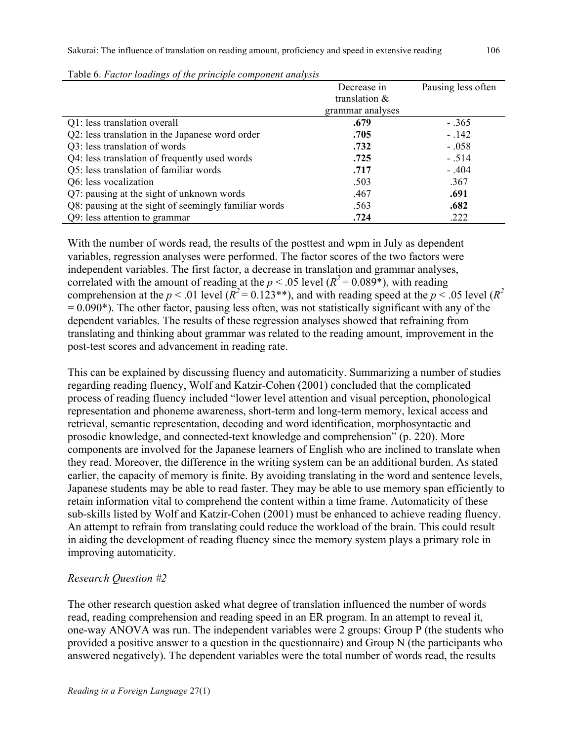|                                                      | Decrease in      | Pausing less often |
|------------------------------------------------------|------------------|--------------------|
|                                                      | translation $\&$ |                    |
|                                                      | grammar analyses |                    |
| Q1: less translation overall                         | .679             | $-.365$            |
| Q2: less translation in the Japanese word order      | .705             | $-.142$            |
| Q3: less translation of words                        | .732             | $-.058$            |
| Q4: less translation of frequently used words        | .725             | $-.514$            |
| Q5: less translation of familiar words               | .717             | $-.404$            |
| Q6: less vocalization                                | .503             | .367               |
| Q7: pausing at the sight of unknown words            | .467             | .691               |
| Q8: pausing at the sight of seemingly familiar words | .563             | .682               |
| Q9: less attention to grammar                        | .724             | .222               |

| Table 6. Factor loadings of the principle component analysis |  |  |  |
|--------------------------------------------------------------|--|--|--|
|                                                              |  |  |  |

With the number of words read, the results of the posttest and wpm in July as dependent variables, regression analyses were performed. The factor scores of the two factors were independent variables. The first factor, a decrease in translation and grammar analyses, correlated with the amount of reading at the  $p < .05$  level  $(R^2 = 0.089^*)$ , with reading comprehension at the  $p < .01$  level ( $R^2 = 0.123**$ ), and with reading speed at the  $p < .05$  level ( $R^2$ )  $= 0.090*$ ). The other factor, pausing less often, was not statistically significant with any of the dependent variables. The results of these regression analyses showed that refraining from translating and thinking about grammar was related to the reading amount, improvement in the post-test scores and advancement in reading rate.

This can be explained by discussing fluency and automaticity. Summarizing a number of studies regarding reading fluency, Wolf and Katzir-Cohen (2001) concluded that the complicated process of reading fluency included "lower level attention and visual perception, phonological representation and phoneme awareness, short-term and long-term memory, lexical access and retrieval, semantic representation, decoding and word identification, morphosyntactic and prosodic knowledge, and connected-text knowledge and comprehension" (p. 220). More components are involved for the Japanese learners of English who are inclined to translate when they read. Moreover, the difference in the writing system can be an additional burden. As stated earlier, the capacity of memory is finite. By avoiding translating in the word and sentence levels, Japanese students may be able to read faster. They may be able to use memory span efficiently to retain information vital to comprehend the content within a time frame. Automaticity of these sub-skills listed by Wolf and Katzir-Cohen (2001) must be enhanced to achieve reading fluency. An attempt to refrain from translating could reduce the workload of the brain. This could result in aiding the development of reading fluency since the memory system plays a primary role in improving automaticity.

#### *Research Question #2*

The other research question asked what degree of translation influenced the number of words read, reading comprehension and reading speed in an ER program. In an attempt to reveal it, one-way ANOVA was run. The independent variables were 2 groups: Group P (the students who provided a positive answer to a question in the questionnaire) and Group N (the participants who answered negatively). The dependent variables were the total number of words read, the results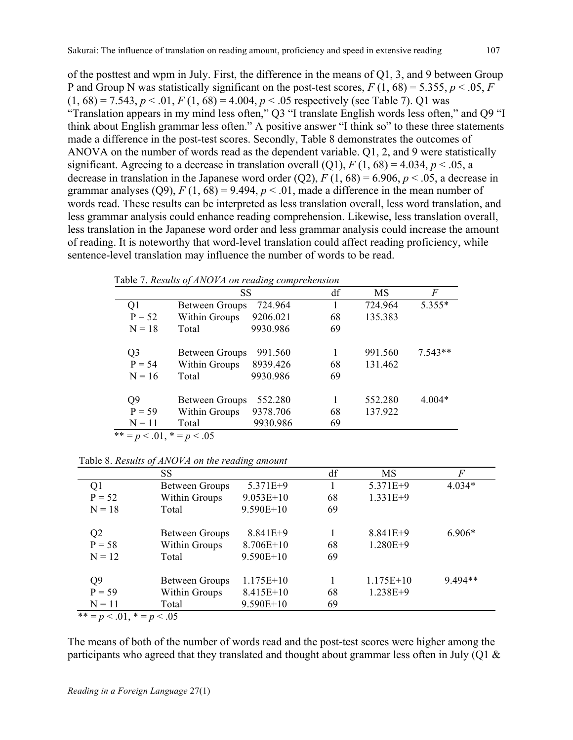of the posttest and wpm in July. First, the difference in the means of Q1, 3, and 9 between Group P and Group N was statistically significant on the post-test scores,  $F(1, 68) = 5.355$ ,  $p < .05$ ,  $F(1, 68) = 5.355$  $(1, 68) = 7.543, p < .01, F(1, 68) = 4.004, p < .05$  respectively (see Table 7). Q1 was "Translation appears in my mind less often," Q3 "I translate English words less often," and Q9 "I think about English grammar less often." A positive answer "I think so" to these three statements made a difference in the post-test scores. Secondly, Table 8 demonstrates the outcomes of ANOVA on the number of words read as the dependent variable. Q1, 2, and 9 were statistically significant. Agreeing to a decrease in translation overall (Q1),  $F(1, 68) = 4.034$ ,  $p < .05$ , a decrease in translation in the Japanese word order  $(Q2)$ ,  $F(1, 68) = 6.906$ ,  $p < .05$ , a decrease in grammar analyses (Q9),  $F(1, 68) = 9.494$ ,  $p < .01$ , made a difference in the mean number of words read. These results can be interpreted as less translation overall, less word translation, and less grammar analysis could enhance reading comprehension. Likewise, less translation overall, less translation in the Japanese word order and less grammar analysis could increase the amount of reading. It is noteworthy that word-level translation could affect reading proficiency, while sentence-level translation may influence the number of words to be read.

Table 7. *Results of ANOVA on reading comprehension*

|                                | <b>SS</b>             |          | df | MS      | F         |
|--------------------------------|-----------------------|----------|----|---------|-----------|
| Q1                             | <b>Between Groups</b> | 724.964  |    | 724.964 | 5.355*    |
| $P = 52$                       | Within Groups         | 9206.021 | 68 | 135.383 |           |
| $N = 18$                       | Total                 | 9930.986 | 69 |         |           |
| Q3                             | <b>Between Groups</b> | 991.560  |    | 991.560 | $7.543**$ |
| $P = 54$                       | Within Groups         | 8939.426 | 68 | 131.462 |           |
| $N = 16$                       | Total                 | 9930.986 | 69 |         |           |
| Q <sub>9</sub>                 | <b>Between Groups</b> | 552.280  |    | 552.280 | $4.004*$  |
| $P = 59$                       | Within Groups         | 9378.706 | 68 | 137.922 |           |
| $N = 11$                       | Total                 | 9930.986 | 69 |         |           |
| ** = $p < .01$ , * = $p < .05$ |                       |          |    |         |           |

|                | SS                    |             | df | <b>MS</b>   | F        |
|----------------|-----------------------|-------------|----|-------------|----------|
| Q1             | <b>Between Groups</b> | 5.371E+9    |    | 5.371E+9    | $4.034*$ |
| $P = 52$       | Within Groups         | $9.053E+10$ | 68 | $1.331E+9$  |          |
| $N = 18$       | Total                 | $9.590E+10$ | 69 |             |          |
| Q <sub>2</sub> | <b>Between Groups</b> | $8.841E+9$  |    | $8.841E+9$  | $6.906*$ |
| $P = 58$       | Within Groups         | 8.706E+10   | 68 | $1.280E+9$  |          |
| $N = 12$       | Total                 | $9.590E+10$ | 69 |             |          |
| Q <sub>9</sub> | <b>Between Groups</b> | $1.175E+10$ |    | $1.175E+10$ | 9.494**  |
| $P = 59$       | Within Groups         | 8.415E+10   | 68 | $1.238E+9$  |          |
| $N = 11$       | Total                 | 9.590E+10   | 69 |             |          |
| $44$ $-201$    | $\sim$ 0.5            |             |    |             |          |

Table 8. *Results of ANOVA on the reading amount*

 $** = p < 0.01, * = p < 0.05$ 

The means of both of the number of words read and the post-test scores were higher among the participants who agreed that they translated and thought about grammar less often in July (Q1  $\&$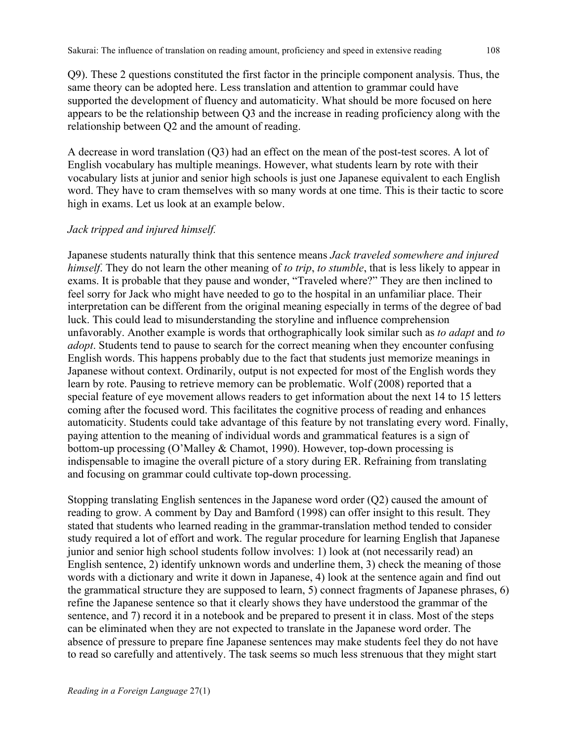Q9). These 2 questions constituted the first factor in the principle component analysis. Thus, the same theory can be adopted here. Less translation and attention to grammar could have supported the development of fluency and automaticity. What should be more focused on here appears to be the relationship between Q3 and the increase in reading proficiency along with the relationship between Q2 and the amount of reading.

A decrease in word translation (Q3) had an effect on the mean of the post-test scores. A lot of English vocabulary has multiple meanings. However, what students learn by rote with their vocabulary lists at junior and senior high schools is just one Japanese equivalent to each English word. They have to cram themselves with so many words at one time. This is their tactic to score high in exams. Let us look at an example below.

### *Jack tripped and injured himself.*

Japanese students naturally think that this sentence means *Jack traveled somewhere and injured himself*. They do not learn the other meaning of *to trip*, *to stumble*, that is less likely to appear in exams. It is probable that they pause and wonder, "Traveled where?" They are then inclined to feel sorry for Jack who might have needed to go to the hospital in an unfamiliar place. Their interpretation can be different from the original meaning especially in terms of the degree of bad luck. This could lead to misunderstanding the storyline and influence comprehension unfavorably. Another example is words that orthographically look similar such as *to adapt* and *to adopt*. Students tend to pause to search for the correct meaning when they encounter confusing English words. This happens probably due to the fact that students just memorize meanings in Japanese without context. Ordinarily, output is not expected for most of the English words they learn by rote. Pausing to retrieve memory can be problematic. Wolf (2008) reported that a special feature of eye movement allows readers to get information about the next 14 to 15 letters coming after the focused word. This facilitates the cognitive process of reading and enhances automaticity. Students could take advantage of this feature by not translating every word. Finally, paying attention to the meaning of individual words and grammatical features is a sign of bottom-up processing (O'Malley & Chamot, 1990). However, top-down processing is indispensable to imagine the overall picture of a story during ER. Refraining from translating and focusing on grammar could cultivate top-down processing.

Stopping translating English sentences in the Japanese word order (Q2) caused the amount of reading to grow. A comment by Day and Bamford (1998) can offer insight to this result. They stated that students who learned reading in the grammar-translation method tended to consider study required a lot of effort and work. The regular procedure for learning English that Japanese junior and senior high school students follow involves: 1) look at (not necessarily read) an English sentence, 2) identify unknown words and underline them, 3) check the meaning of those words with a dictionary and write it down in Japanese, 4) look at the sentence again and find out the grammatical structure they are supposed to learn, 5) connect fragments of Japanese phrases, 6) refine the Japanese sentence so that it clearly shows they have understood the grammar of the sentence, and 7) record it in a notebook and be prepared to present it in class. Most of the steps can be eliminated when they are not expected to translate in the Japanese word order. The absence of pressure to prepare fine Japanese sentences may make students feel they do not have to read so carefully and attentively. The task seems so much less strenuous that they might start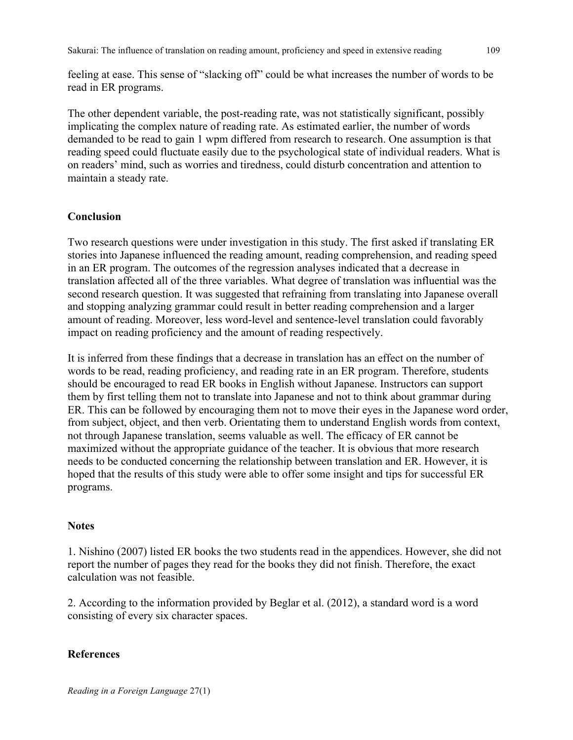feeling at ease. This sense of "slacking off" could be what increases the number of words to be read in ER programs.

The other dependent variable, the post-reading rate, was not statistically significant, possibly implicating the complex nature of reading rate. As estimated earlier, the number of words demanded to be read to gain 1 wpm differed from research to research. One assumption is that reading speed could fluctuate easily due to the psychological state of individual readers. What is on readers' mind, such as worries and tiredness, could disturb concentration and attention to maintain a steady rate.

### **Conclusion**

Two research questions were under investigation in this study. The first asked if translating ER stories into Japanese influenced the reading amount, reading comprehension, and reading speed in an ER program. The outcomes of the regression analyses indicated that a decrease in translation affected all of the three variables. What degree of translation was influential was the second research question. It was suggested that refraining from translating into Japanese overall and stopping analyzing grammar could result in better reading comprehension and a larger amount of reading. Moreover, less word-level and sentence-level translation could favorably impact on reading proficiency and the amount of reading respectively.

It is inferred from these findings that a decrease in translation has an effect on the number of words to be read, reading proficiency, and reading rate in an ER program. Therefore, students should be encouraged to read ER books in English without Japanese. Instructors can support them by first telling them not to translate into Japanese and not to think about grammar during ER. This can be followed by encouraging them not to move their eyes in the Japanese word order, from subject, object, and then verb. Orientating them to understand English words from context, not through Japanese translation, seems valuable as well. The efficacy of ER cannot be maximized without the appropriate guidance of the teacher. It is obvious that more research needs to be conducted concerning the relationship between translation and ER. However, it is hoped that the results of this study were able to offer some insight and tips for successful ER programs.

#### **Notes**

1. Nishino (2007) listed ER books the two students read in the appendices. However, she did not report the number of pages they read for the books they did not finish. Therefore, the exact calculation was not feasible.

2. According to the information provided by Beglar et al. (2012), a standard word is a word consisting of every six character spaces.

#### **References**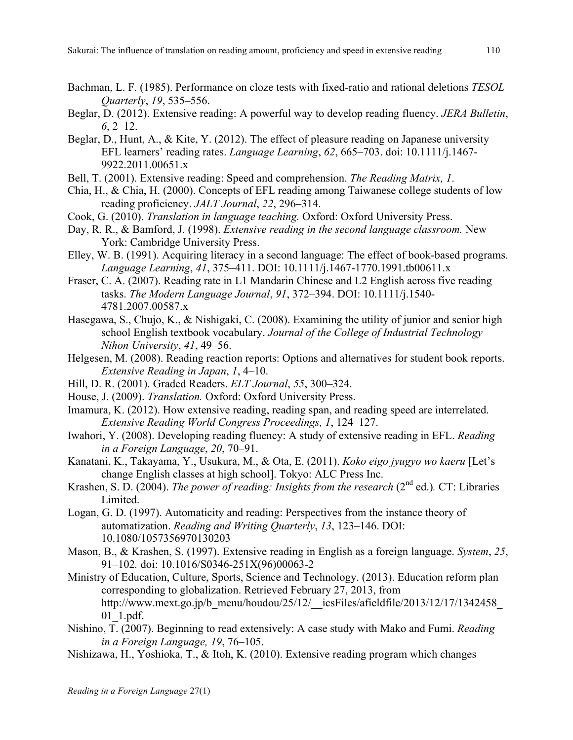- Bachman, L. F. (1985). Performance on cloze tests with fixed-ratio and rational deletions *TESOL Quarterly*, *19*, 535–556.
- Beglar, D. (2012). Extensive reading: A powerful way to develop reading fluency. *JERA Bulletin*, *6*, 2–12.
- Beglar, D., Hunt, A., & Kite, Y. (2012). The effect of pleasure reading on Japanese university EFL learners' reading rates. *Language Learning*, *62*, 665–703. doi: 10.1111/j.1467- 9922.2011.00651.x
- Bell, T. (2001). Extensive reading: Speed and comprehension. *The Reading Matrix, 1*.
- Chia, H., & Chia, H. (2000). Concepts of EFL reading among Taiwanese college students of low reading proficiency. *JALT Journal*, *22*, 296–314.
- Cook, G. (2010). *Translation in language teaching.* Oxford: Oxford University Press.
- Day, R. R., & Bamford, J. (1998). *Extensive reading in the second language classroom.* New York: Cambridge University Press.
- Elley, W. B. (1991). Acquiring literacy in a second language: The effect of book-based programs. *Language Learning*, *41*, 375–411. DOI: 10.1111/j.1467-1770.1991.tb00611.x
- Fraser, C. A. (2007). Reading rate in L1 Mandarin Chinese and L2 English across five reading tasks. *The Modern Language Journal*, *91*, 372–394. DOI: 10.1111/j.1540- 4781.2007.00587.x
- Hasegawa, S., Chujo, K., & Nishigaki, C. (2008). Examining the utility of junior and senior high school English textbook vocabulary. *Journal of the College of Industrial Technology Nihon University*, *41*, 49–56.
- Helgesen, M. (2008). Reading reaction reports: Options and alternatives for student book reports. *Extensive Reading in Japan*, *1*, 4–10.
- Hill, D. R. (2001). Graded Readers. *ELT Journal*, *55*, 300–324.
- House, J. (2009). *Translation.* Oxford: Oxford University Press.
- Imamura, K. (2012). How extensive reading, reading span, and reading speed are interrelated. *Extensive Reading World Congress Proceedings, 1*, 124–127.
- Iwahori, Y. (2008). Developing reading fluency: A study of extensive reading in EFL. *Reading in a Foreign Language*, *20*, 70–91.
- Kanatani, K., Takayama, Y., Usukura, M., & Ota, E. (2011). *Koko eigo jyugyo wo kaeru* [Let's change English classes at high school]. Tokyo: ALC Press Inc.
- Krashen, S. D. (2004). *The power of reading: Insights from the research* (2<sup>nd</sup> ed.). CT: Libraries Limited.
- Logan, G. D. (1997). Automaticity and reading: Perspectives from the instance theory of automatization. *Reading and Writing Quarterly*, *13*, 123–146. DOI: 10.1080/1057356970130203
- Mason, B., & Krashen, S. (1997). Extensive reading in English as a foreign language. *System*, *25*, 91–102*.* doi: 10.1016/S0346-251X(96)00063-2
- Ministry of Education, Culture, Sports, Science and Technology. (2013). Education reform plan corresponding to globalization. Retrieved February 27, 2013, from http://www.mext.go.jp/b\_menu/houdou/25/12/\_\_icsFiles/afieldfile/2013/12/17/1342458 01\_1.pdf.
- Nishino, T. (2007). Beginning to read extensively: A case study with Mako and Fumi. *Reading in a Foreign Language, 19*, 76–105.
- Nishizawa, H., Yoshioka, T., & Itoh, K. (2010). Extensive reading program which changes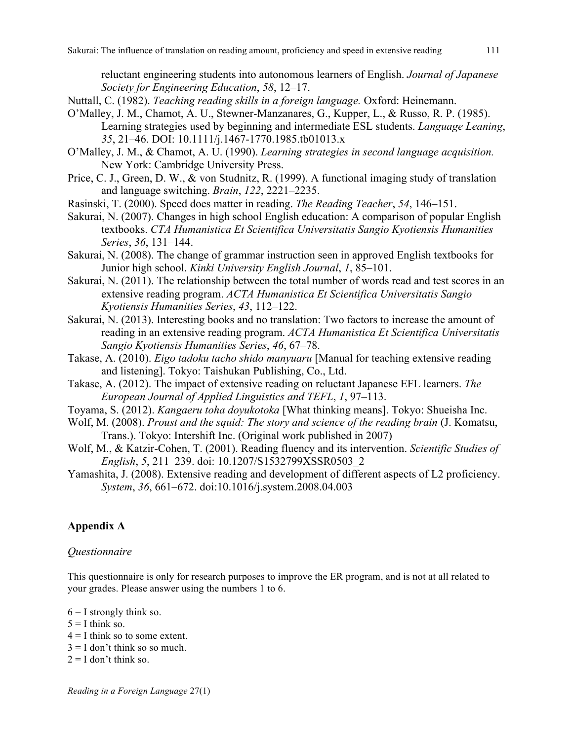reluctant engineering students into autonomous learners of English. *Journal of Japanese Society for Engineering Education*, *58*, 12–17.

- Nuttall, C. (1982). *Teaching reading skills in a foreign language.* Oxford: Heinemann.
- O'Malley, J. M., Chamot, A. U., Stewner-Manzanares, G., Kupper, L., & Russo, R. P. (1985). Learning strategies used by beginning and intermediate ESL students. *Language Leaning*, *35*, 21–46. DOI: 10.1111/j.1467-1770.1985.tb01013.x
- O'Malley, J. M., & Chamot, A. U. (1990). *Learning strategies in second language acquisition.*  New York: Cambridge University Press.
- Price, C. J., Green, D. W., & von Studnitz, R. (1999). A functional imaging study of translation and language switching. *Brain*, *122*, 2221–2235.
- Rasinski, T. (2000). Speed does matter in reading. *The Reading Teacher*, *54*, 146–151.
- Sakurai, N. (2007). Changes in high school English education: A comparison of popular English textbooks. *CTA Humanistica Et Scientifica Universitatis Sangio Kyotiensis Humanities Series*, *36*, 131–144.
- Sakurai, N. (2008). The change of grammar instruction seen in approved English textbooks for Junior high school. *Kinki University English Journal*, *1*, 85–101.
- Sakurai, N. (2011). The relationship between the total number of words read and test scores in an extensive reading program. *ACTA Humanistica Et Scientifica Universitatis Sangio Kyotiensis Humanities Series*, *43*, 112–122.
- Sakurai, N. (2013). Interesting books and no translation: Two factors to increase the amount of reading in an extensive reading program. *ACTA Humanistica Et Scientifica Universitatis Sangio Kyotiensis Humanities Series*, *46*, 67–78.
- Takase, A. (2010). *Eigo tadoku tacho shido manyuaru* [Manual for teaching extensive reading and listening]. Tokyo: Taishukan Publishing, Co., Ltd.
- Takase, A. (2012). The impact of extensive reading on reluctant Japanese EFL learners. *The European Journal of Applied Linguistics and TEFL*, *1*, 97–113.
- Toyama, S. (2012). *Kangaeru toha doyukotoka* [What thinking means]. Tokyo: Shueisha Inc.
- Wolf, M. (2008). *Proust and the squid: The story and science of the reading brain* (J. Komatsu, Trans.). Tokyo: Intershift Inc. (Original work published in 2007)
- Wolf, M., & Katzir-Cohen, T. (2001). Reading fluency and its intervention. *Scientific Studies of English*, *5*, 211–239. doi: 10.1207/S1532799XSSR0503\_2
- Yamashita, J. (2008). Extensive reading and development of different aspects of L2 proficiency. *System*, *36*, 661–672. doi:10.1016/j.system.2008.04.003

### **Appendix A**

#### *Questionnaire*

This questionnaire is only for research purposes to improve the ER program, and is not at all related to your grades. Please answer using the numbers 1 to 6.

 $6 = I$  strongly think so.  $5 = I$  think so.  $4 = I$  think so to some extent.  $3 = I$  don't think so so much.  $2 = I$  don't think so.

*Reading in a Foreign Language* 27(1)